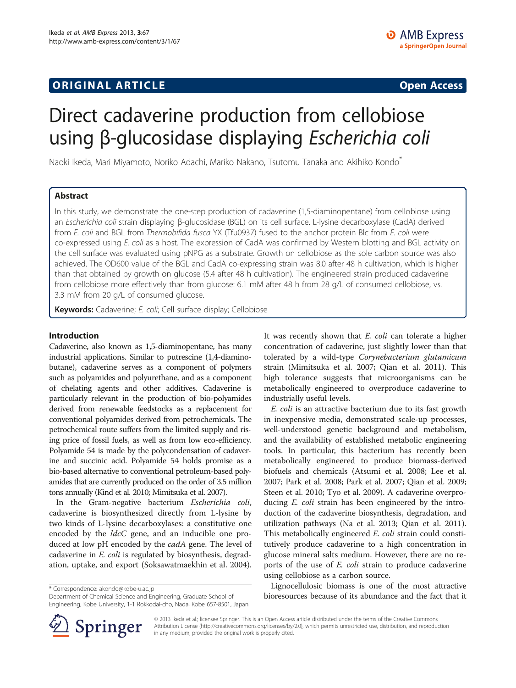# **ORIGINAL ARTICLE CONSERVANCE IN A LOCAL CONSERVANCE IN A LOCAL CONSERVANCE IN A LOCAL CONSERVANCE IN A LOCAL CONSERVANCE IN A LOCAL CONSERVANCE IN A LOCAL CONSERVANCE IN A LOCAL CONSERVANCE IN A LOCAL CONSERVANCE IN A L**

# Direct cadaverine production from cellobiose using β-glucosidase displaying Escherichia coli

Naoki Ikeda, Mari Miyamoto, Noriko Adachi, Mariko Nakano, Tsutomu Tanaka and Akihiko Kondo\*

# Abstract

In this study, we demonstrate the one-step production of cadaverine (1,5-diaminopentane) from cellobiose using an Escherichia coli strain displaying β-glucosidase (BGL) on its cell surface. L-lysine decarboxylase (CadA) derived from E. coli and BGL from Thermobifida fusca YX (Tfu0937) fused to the anchor protein Blc from E. coli were co-expressed using E. coli as a host. The expression of CadA was confirmed by Western blotting and BGL activity on the cell surface was evaluated using pNPG as a substrate. Growth on cellobiose as the sole carbon source was also achieved. The OD600 value of the BGL and CadA co-expressing strain was 8.0 after 48 h cultivation, which is higher than that obtained by growth on glucose (5.4 after 48 h cultivation). The engineered strain produced cadaverine from cellobiose more effectively than from glucose: 6.1 mM after 48 h from 28 g/L of consumed cellobiose, vs. 3.3 mM from 20 g/L of consumed glucose.

Keywords: Cadaverine; E. coli; Cell surface display; Cellobiose

#### Introduction

Cadaverine, also known as 1,5-diaminopentane, has many industrial applications. Similar to putrescine (1,4-diaminobutane), cadaverine serves as a component of polymers such as polyamides and polyurethane, and as a component of chelating agents and other additives. Cadaverine is particularly relevant in the production of bio-polyamides derived from renewable feedstocks as a replacement for conventional polyamides derived from petrochemicals. The petrochemical route suffers from the limited supply and rising price of fossil fuels, as well as from low eco-efficiency. Polyamide 54 is made by the polycondensation of cadaverine and succinic acid. Polyamide 54 holds promise as a bio-based alternative to conventional petroleum-based polyamides that are currently produced on the order of 3.5 million tons annually (Kind et al. [2010](#page-6-0); Mimitsuka et al. [2007\)](#page-6-0).

In the Gram-negative bacterium Escherichia coli, cadaverine is biosynthesized directly from L-lysine by two kinds of L-lysine decarboxylases: a constitutive one encoded by the *ldcC* gene, and an inducible one produced at low pH encoded by the *cadA* gene. The level of cadaverine in E. coli is regulated by biosynthesis, degradation, uptake, and export (Soksawatmaekhin et al. [2004](#page-6-0)).

\* Correspondence: [akondo@kobe-u.ac.jp](mailto:akondo@kobe-u.ac.jp)

Department of Chemical Science and Engineering, Graduate School of Engineering, Kobe University, 1-1 Rokkodai-cho, Nada, Kobe 657-8501, Japan It was recently shown that *E. coli* can tolerate a higher concentration of cadaverine, just slightly lower than that tolerated by a wild-type Corynebacterium glutamicum strain (Mimitsuka et al. [2007](#page-6-0); Qian et al. [2011](#page-6-0)). This high tolerance suggests that microorganisms can be metabolically engineered to overproduce cadaverine to industrially useful levels.

E. coli is an attractive bacterium due to its fast growth in inexpensive media, demonstrated scale-up processes, well-understood genetic background and metabolism, and the availability of established metabolic engineering tools. In particular, this bacterium has recently been metabolically engineered to produce biomass-derived biofuels and chemicals (Atsumi et al. [2008;](#page-6-0) Lee et al. [2007](#page-6-0); Park et al. [2008;](#page-6-0) Park et al. [2007;](#page-6-0) Qian et al. [2009](#page-6-0); Steen et al. [2010](#page-6-0); Tyo et al. [2009\)](#page-6-0). A cadaverine overproducing E. coli strain has been engineered by the introduction of the cadaverine biosynthesis, degradation, and utilization pathways (Na et al. [2013;](#page-6-0) Qian et al. [2011](#page-6-0)). This metabolically engineered *E. coli* strain could constitutively produce cadaverine to a high concentration in glucose mineral salts medium. However, there are no reports of the use of E. coli strain to produce cadaverine using cellobiose as a carbon source.

Lignocellulosic biomass is one of the most attractive bioresources because of its abundance and the fact that it



© 2013 Ikeda et al.; licensee Springer. This is an Open Access article distributed under the terms of the Creative Commons Attribution License [\(http://creativecommons.org/licenses/by/2.0\)](http://creativecommons.org/licenses/by/2.0), which permits unrestricted use, distribution, and reproduction in any medium, provided the original work is properly cited.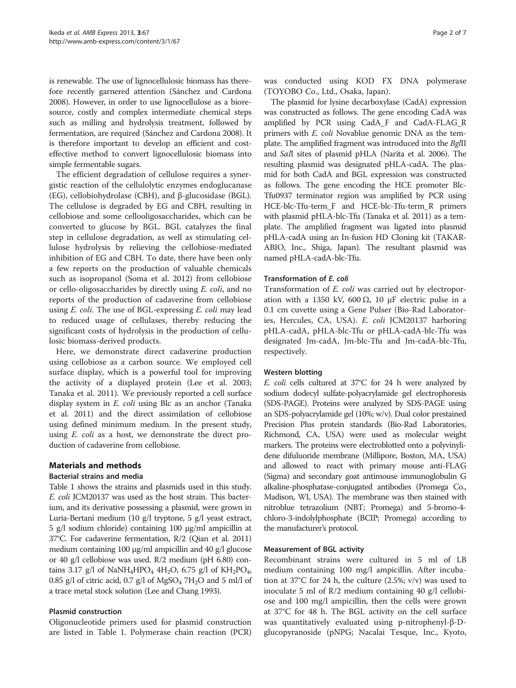is renewable. The use of lignocellulosic biomass has therefore recently garnered attention (Sánchez and Cardona [2008\)](#page-6-0). However, in order to use lignocellulose as a bioresource, costly and complex intermediate chemical steps such as milling and hydrolysis treatment, followed by fermentation, are required (Sánchez and Cardona [2008](#page-6-0)). It is therefore important to develop an efficient and costeffective method to convert lignocellulosic biomass into simple fermentable sugars.

The efficient degradation of cellulose requires a synergistic reaction of the cellulolytic enzymes endoglucanase (EG), cellobiohydrolase (CBH), and β-glucosidase (BGL). The cellulose is degraded by EG and CBH, resulting in cellobiose and some cellooligosaccharides, which can be converted to glucose by BGL. BGL catalyzes the final step in cellulose degradation, as well as stimulating cellulose hydrolysis by relieving the cellobiose-mediated inhibition of EG and CBH. To date, there have been only a few reports on the production of valuable chemicals such as isopropanol (Soma et al. [2012](#page-6-0)) from cellobiose or cello-oligosaccharides by directly using E. coli, and no reports of the production of cadaverine from cellobiose using E. coli. The use of BGL-expressing E. coli may lead to reduced usage of cellulases, thereby reducing the significant costs of hydrolysis in the production of cellulosic biomass-derived products.

Here, we demonstrate direct cadaverine production using cellobiose as a carbon source. We employed cell surface display, which is a powerful tool for improving the activity of a displayed protein (Lee et al. [2003](#page-6-0); Tanaka et al. [2011](#page-6-0)). We previously reported a cell surface display system in E. coli using Blc as an anchor (Tanaka et al. [2011\)](#page-6-0) and the direct assimilation of cellobiose using defined minimum medium. In the present study, using E. coli as a host, we demonstrate the direct production of cadaverine from cellobiose.

# Materials and methods

# Bacterial strains and media

Table [1](#page-2-0) shows the strains and plasmids used in this study. E. coli JCM20137 was used as the host strain. This bacterium, and its derivative possessing a plasmid, were grown in Luria-Bertani medium (10 g/l tryptone, 5 g/l yeast extract, 5 g/l sodium chloride) containing 100 μg/ml ampicillin at 37°C. For cadaverine fermentation, R/2 (Qian et al. [2011](#page-6-0)) medium containing 100 μg/ml ampicillin and 40 g/l glucose or 40 g/l cellobiose was used. R/2 medium (pH 6.80) contains 3.17 g/l of NaNH<sub>4</sub>HPO<sub>4</sub> 4H<sub>2</sub>O, 6.75 g/l of KH<sub>2</sub>PO<sub>4</sub>, 0.85 g/l of citric acid, 0.7 g/l of  $MgSO_4$  7H<sub>2</sub>O and 5 ml/l of a trace metal stock solution (Lee and Chang [1993\)](#page-6-0).

# Plasmid construction

Oligonucleotide primers used for plasmid construction are listed in Table [1.](#page-2-0) Polymerase chain reaction (PCR)

was conducted using KOD FX DNA polymerase (TOYOBO Co., Ltd., Osaka, Japan).

The plasmid for lysine decarboxylase (CadA) expression was constructed as follows. The gene encoding CadA was amplified by PCR using CadA\_F and CadA-FLAG\_R primers with *E. coli* Novablue genomic DNA as the template. The amplified fragment was introduced into the BglII and SalI sites of plasmid pHLA (Narita et al. [2006\)](#page-6-0). The resulting plasmid was designated pHLA-cadA. The plasmid for both CadA and BGL expression was constructed as follows. The gene encoding the HCE promoter Blc-Tfu0937 terminator region was amplified by PCR using HCE-blc-Tfu-term\_F and HCE-blc-Tfu-term\_R primers with plasmid pHLA-blc-Tfu (Tanaka et al. [2011\)](#page-6-0) as a template. The amplified fragment was ligated into plasmid pHLA-cadA using an In-fusion HD Cloning kit (TAKAR-ABIO, Inc., Shiga, Japan). The resultant plasmid was named pHLA-cadA-blc-Tfu.

# Transformation of E. coli

Transformation of E. coli was carried out by electroporation with a 1350 kV, 600 Ω, 10 μF electric pulse in a 0.1 cm cuvette using a Gene Pulser (Bio-Rad Laboratories, Hercules, CA, USA). E. coli JCM20137 harboring pHLA-cadA, pHLA-blc-Tfu or pHLA-cadA-blc-Tfu was designated Jm-cadA, Jm-blc-Tfu and Jm-cadA-blc-Tfu, respectively.

# Western blotting

E. coli cells cultured at 37°C for 24 h were analyzed by sodium dodecyl sulfate-polyacrylamide gel electrophoresis (SDS-PAGE). Proteins were analyzed by SDS-PAGE using an SDS-polyacrylamide gel (10%; w/v). Dual color prestained Precision Plus protein standards (Bio-Rad Laboratories, Richmond, CA, USA) were used as molecular weight markers. The proteins were electroblotted onto a polyvinylidene difuluoride membrane (Millipore, Boston, MA, USA) and allowed to react with primary mouse anti-FLAG (Sigma) and secondary goat antimouse immunoglobulin G alkaline-phosphatase-conjugated antibodies (Promega Co., Madison, WI, USA). The membrane was then stained with nitroblue tetrazolium (NBT; Promega) and 5-bromo-4 chloro-3-indolylphosphate (BCIP; Promega) according to the manufacturer's protocol.

# Measurement of BGL activity

Recombinant strains were cultured in 5 ml of LB medium containing 100 mg/l ampicillin. After incubation at 37°C for 24 h, the culture (2.5%;  $v/v$ ) was used to inoculate 5 ml of R/2 medium containing 40 g/l cellobiose and 100 mg/l ampicillin, then the cells were grown at 37°C for 48 h. The BGL activity on the cell surface was quantitatively evaluated using p-nitrophenyl-β-Dglucopyranoside (pNPG; Nacalai Tesque, Inc., Kyoto,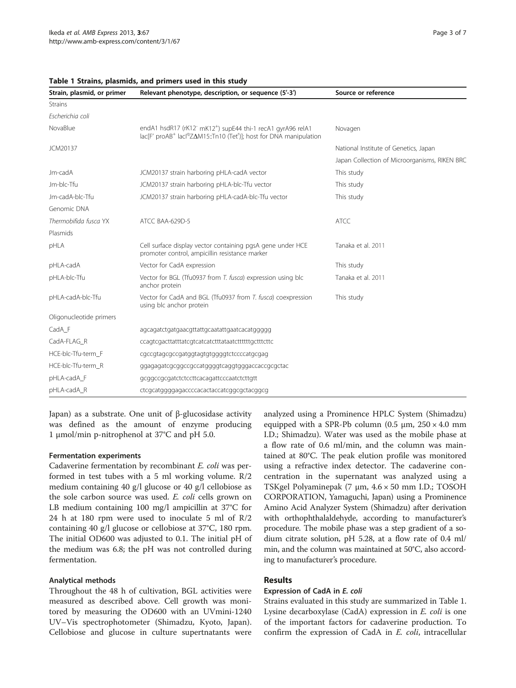| Strain, plasmid, or primer | Relevant phenotype, description, or sequence (5'-3')                                                                                                                               | Source or reference                           |  |  |  |
|----------------------------|------------------------------------------------------------------------------------------------------------------------------------------------------------------------------------|-----------------------------------------------|--|--|--|
| <b>Strains</b>             |                                                                                                                                                                                    |                                               |  |  |  |
| Escherichia coli           |                                                                                                                                                                                    |                                               |  |  |  |
| NovaBlue                   | endA1 hsdR17 (rK12" mK12 <sup>+</sup> ) supE44 thi-1 recA1 gyrA96 relA1<br>lac[F' proAB <sup>+</sup> lacl <sup>q</sup> ZΔM15::Tn10 (Tet <sup>r</sup> )]; host for DNA manipulation | Novagen                                       |  |  |  |
| JCM20137                   |                                                                                                                                                                                    | National Institute of Genetics, Japan         |  |  |  |
|                            |                                                                                                                                                                                    | Japan Collection of Microorganisms, RIKEN BRC |  |  |  |
| Jm-cadA                    | JCM20137 strain harboring pHLA-cadA vector                                                                                                                                         | This study                                    |  |  |  |
| Jm-blc-Tfu                 | JCM20137 strain harboring pHLA-blc-Tfu vector                                                                                                                                      | This study                                    |  |  |  |
| Jm-cadA-blc-Tfu            | JCM20137 strain harboring pHLA-cadA-blc-Tfu vector                                                                                                                                 | This study                                    |  |  |  |
| Genomic DNA                |                                                                                                                                                                                    |                                               |  |  |  |
| Thermobifida fusca YX      | ATCC BAA-629D-5                                                                                                                                                                    | <b>ATCC</b>                                   |  |  |  |
| Plasmids                   |                                                                                                                                                                                    |                                               |  |  |  |
| pHLA                       | Cell surface display vector containing pgsA gene under HCE<br>promoter control, ampicillin resistance marker                                                                       | Tanaka et al. 2011                            |  |  |  |
| pHLA-cadA                  | Vector for CadA expression                                                                                                                                                         | This study                                    |  |  |  |
| pHLA-blc-Tfu               | Vector for BGL (Tfu0937 from T. fusca) expression using blc<br>anchor protein                                                                                                      | Tanaka et al. 2011                            |  |  |  |
| pHLA-cadA-blc-Tfu          | Vector for CadA and BGL (Tfu0937 from T. fusca) coexpression<br>using blc anchor protein                                                                                           | This study                                    |  |  |  |
| Oligonucleotide primers    |                                                                                                                                                                                    |                                               |  |  |  |
| CadA F                     | agcagatctgatgaacgttattgcaatattgaatcacatggggg                                                                                                                                       |                                               |  |  |  |
| CadA-FLAG R                | ccagtcgacttatttatcgtcatcatcttttataatctttttttgctttcttc                                                                                                                              |                                               |  |  |  |
| HCE-blc-Tfu-term F         | cgccgtagcgccgatggtagtgtggggtctccccatgcgag                                                                                                                                          |                                               |  |  |  |
| HCE-blc-Tfu-term R         | ggagagatcgcggccgccatggggtcaggtgggaccaccgcgctac                                                                                                                                     |                                               |  |  |  |
| pHLA-cadA_F                | gcggccgcgatctctccttcacagattcccaatctcttgtt                                                                                                                                          |                                               |  |  |  |
| pHLA-cadA_R                | ctcgcatgggggagaccccacactaccatcggcgctacggcg                                                                                                                                         |                                               |  |  |  |

<span id="page-2-0"></span>

|  |  |  | Table 1 Strains, plasmids, and primers used in this study |  |  |  |  |  |  |
|--|--|--|-----------------------------------------------------------|--|--|--|--|--|--|
|--|--|--|-----------------------------------------------------------|--|--|--|--|--|--|

Japan) as a substrate. One unit of β-glucosidase activity was defined as the amount of enzyme producing 1 μmol/min p-nitrophenol at 37°C and pH 5.0.

#### Fermentation experiments

Cadaverine fermentation by recombinant E. coli was performed in test tubes with a 5 ml working volume.  $R/2$ medium containing 40 g/l glucose or 40 g/l cellobiose as the sole carbon source was used. E. coli cells grown on LB medium containing 100 mg/l ampicillin at 37°C for 24 h at 180 rpm were used to inoculate 5 ml of R/2 containing 40 g/l glucose or cellobiose at 37°C, 180 rpm. The initial OD600 was adjusted to 0.1. The initial pH of the medium was 6.8; the pH was not controlled during fermentation.

### Analytical methods

Throughout the 48 h of cultivation, BGL activities were measured as described above. Cell growth was monitored by measuring the OD600 with an UVmini-1240 UV–Vis spectrophotometer (Shimadzu, Kyoto, Japan). Cellobiose and glucose in culture supertnatants were analyzed using a Prominence HPLC System (Shimadzu) equipped with a SPR-Pb column (0.5  $\mu$ m, 250 × 4.0 mm I.D.; Shimadzu). Water was used as the mobile phase at a flow rate of 0.6 ml/min, and the column was maintained at 80°C. The peak elution profile was monitored using a refractive index detector. The cadaverine concentration in the supernatant was analyzed using a TSKgel Polyaminepak (7 μm, 4.6 × 50 mm I.D.; TOSOH CORPORATION, Yamaguchi, Japan) using a Prominence Amino Acid Analyzer System (Shimadzu) after derivation with orthophthalaldehyde, according to manufacturer's procedure. The mobile phase was a step gradient of a sodium citrate solution, pH 5.28, at a flow rate of 0.4 ml/ min, and the column was maintained at 50°C, also according to manufacturer's procedure.

#### Results

#### Expression of CadA in E. coli

Strains evaluated in this study are summarized in Table 1. Lysine decarboxylase (CadA) expression in E. coli is one of the important factors for cadaverine production. To confirm the expression of CadA in E. coli, intracellular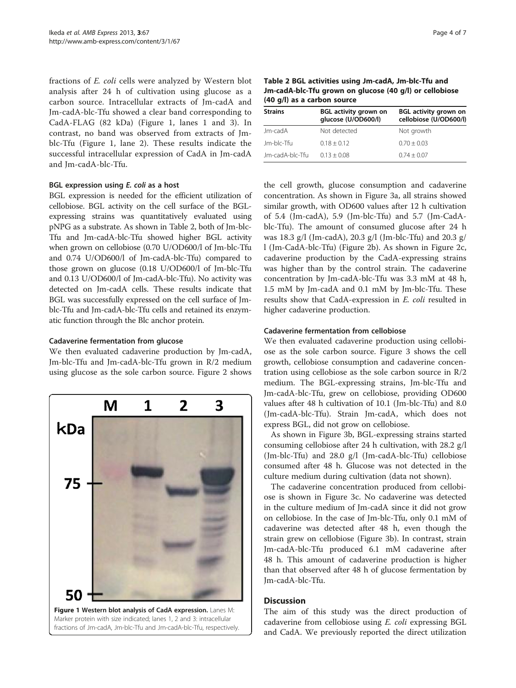<span id="page-3-0"></span>fractions of E. coli cells were analyzed by Western blot analysis after 24 h of cultivation using glucose as a carbon source. Intracellular extracts of Jm-cadA and Jm-cadA-blc-Tfu showed a clear band corresponding to CadA-FLAG (82 kDa) (Figure 1, lanes 1 and 3). In contrast, no band was observed from extracts of Jmblc-Tfu (Figure 1, lane 2). These results indicate the successful intracellular expression of CadA in Jm-cadA and Jm-cadA-blc-Tfu.

#### BGL expression using E. coli as a host

BGL expression is needed for the efficient utilization of cellobiose. BGL activity on the cell surface of the BGLexpressing strains was quantitatively evaluated using pNPG as a substrate. As shown in Table 2, both of Jm-blc-Tfu and Jm-cadA-blc-Tfu showed higher BGL activity when grown on cellobiose (0.70 U/OD600/l of Jm-blc-Tfu and 0.74 U/OD600/l of Jm-cadA-blc-Tfu) compared to those grown on glucose (0.18 U/OD600/l of Jm-blc-Tfu and 0.13 U/OD600/l of Jm-cadA-blc-Tfu). No activity was detected on Jm-cadA cells. These results indicate that BGL was successfully expressed on the cell surface of Jmblc-Tfu and Jm-cadA-blc-Tfu cells and retained its enzymatic function through the Blc anchor protein.

#### Cadaverine fermentation from glucose

We then evaluated cadaverine production by Jm-cadA, Jm-blc-Tfu and Jm-cadA-blc-Tfu grown in R/2 medium using glucose as the sole carbon source. Figure [2](#page-4-0) shows



Table 2 BGL activities using Jm-cadA, Jm-blc-Tfu and Jm-cadA-blc-Tfu grown on glucose (40 g/l) or cellobiose (40 g/l) as a carbon source

| <b>Strains</b>  | <b>BGL activity grown on</b><br>glucose (U/OD600/l) | <b>BGL activity grown on</b><br>cellobiose (U/OD600/l) |  |  |  |  |
|-----------------|-----------------------------------------------------|--------------------------------------------------------|--|--|--|--|
| Jm-cadA         | Not detected                                        | Not growth                                             |  |  |  |  |
| Jm-blc-Tfu      | $0.18 + 0.12$                                       | $0.70 + 0.03$                                          |  |  |  |  |
| Jm-cadA-blc-Tfu | $0.13 \pm 0.08$                                     | $0.74 + 0.07$                                          |  |  |  |  |

the cell growth, glucose consumption and cadaverine concentration. As shown in Figure [3](#page-5-0)a, all strains showed similar growth, with OD600 values after 12 h cultivation of 5.4 (Jm-cadA), 5.9 (Jm-blc-Tfu) and 5.7 (Jm-CadAblc-Tfu). The amount of consumed glucose after 24 h was 18.3 g/l (Jm-cadA), 20.3 g/l (Jm-blc-Tfu) and 20.3 g/ l (Jm-CadA-blc-Tfu) (Figure [2b](#page-4-0)). As shown in Figure [2c](#page-4-0), cadaverine production by the CadA-expressing strains was higher than by the control strain. The cadaverine concentration by Jm-cadA-blc-Tfu was 3.3 mM at 48 h, 1.5 mM by Jm-cadA and 0.1 mM by Jm-blc-Tfu. These results show that CadA-expression in E. coli resulted in higher cadaverine production.

#### Cadaverine fermentation from cellobiose

We then evaluated cadaverine production using cellobiose as the sole carbon source. Figure [3](#page-5-0) shows the cell growth, cellobiose consumption and cadaverine concentration using cellobiose as the sole carbon source in R/2 medium. The BGL-expressing strains, Jm-blc-Tfu and Jm-cadA-blc-Tfu, grew on cellobiose, providing OD600 values after 48 h cultivation of 10.1 (Jm-blc-Tfu) and 8.0 (Jm-cadA-blc-Tfu). Strain Jm-cadA, which does not express BGL, did not grow on cellobiose.

As shown in Figure [3b](#page-5-0), BGL-expressing strains started consuming cellobiose after 24 h cultivation, with 28.2 g/l (Jm-blc-Tfu) and 28.0 g/l (Jm-cadA-blc-Tfu) cellobiose consumed after 48 h. Glucose was not detected in the culture medium during cultivation (data not shown).

The cadaverine concentration produced from cellobiose is shown in Figure [3](#page-5-0)c. No cadaverine was detected in the culture medium of Jm-cadA since it did not grow on cellobiose. In the case of Jm-blc-Tfu, only 0.1 mM of cadaverine was detected after 48 h, even though the strain grew on cellobiose (Figure [3b](#page-5-0)). In contrast, strain Jm-cadA-blc-Tfu produced 6.1 mM cadaverine after 48 h. This amount of cadaverine production is higher than that observed after 48 h of glucose fermentation by Jm-cadA-blc-Tfu.

#### **Discussion**

The aim of this study was the direct production of cadaverine from cellobiose using E. coli expressing BGL and CadA. We previously reported the direct utilization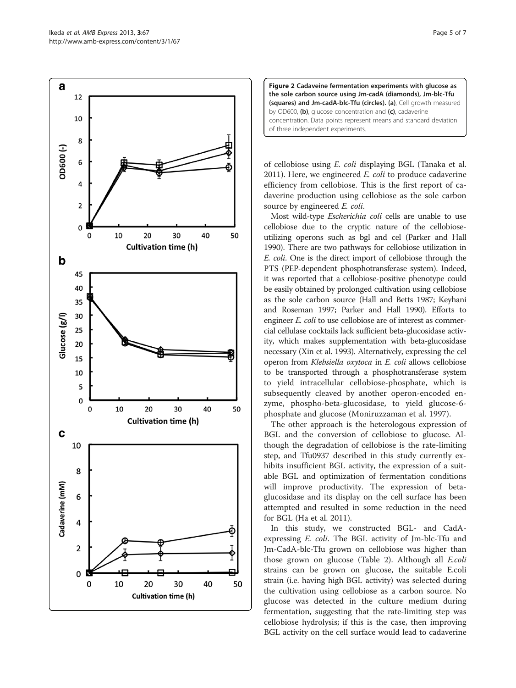<span id="page-4-0"></span>



of cellobiose using E. coli displaying BGL (Tanaka et al. [2011](#page-6-0)). Here, we engineered  $E.$  coli to produce cadaverine efficiency from cellobiose. This is the first report of cadaverine production using cellobiose as the sole carbon source by engineered *E. coli.* 

Most wild-type Escherichia coli cells are unable to use cellobiose due to the cryptic nature of the cellobioseutilizing operons such as bgl and cel (Parker and Hall [1990\)](#page-6-0). There are two pathways for cellobiose utilization in E. coli. One is the direct import of cellobiose through the PTS (PEP-dependent phosphotransferase system). Indeed, it was reported that a cellobiose-positive phenotype could be easily obtained by prolonged cultivation using cellobiose as the sole carbon source (Hall and Betts [1987](#page-6-0); Keyhani and Roseman [1997](#page-6-0); Parker and Hall [1990\)](#page-6-0). Efforts to engineer *E. coli* to use cellobiose are of interest as commercial cellulase cocktails lack sufficient beta-glucosidase activity, which makes supplementation with beta-glucosidase necessary (Xin et al. [1993](#page-6-0)). Alternatively, expressing the cel operon from Klebsiella oxytoca in E. coli allows cellobiose to be transported through a phosphotransferase system to yield intracellular cellobiose-phosphate, which is subsequently cleaved by another operon-encoded enzyme, phospho-beta-glucosidase, to yield glucose-6 phosphate and glucose (Moniruzzaman et al. [1997\)](#page-6-0).

The other approach is the heterologous expression of BGL and the conversion of cellobiose to glucose. Although the degradation of cellobiose is the rate-limiting step, and Tfu0937 described in this study currently exhibits insufficient BGL activity, the expression of a suitable BGL and optimization of fermentation conditions will improve productivity. The expression of betaglucosidase and its display on the cell surface has been attempted and resulted in some reduction in the need for BGL (Ha et al. [2011](#page-6-0)).

In this study, we constructed BGL- and CadAexpressing E. coli. The BGL activity of Jm-blc-Tfu and Jm-CadA-blc-Tfu grown on cellobiose was higher than those grown on glucose (Table [2](#page-3-0)). Although all E.coli strains can be grown on glucose, the suitable E.coli strain (i.e. having high BGL activity) was selected during the cultivation using cellobiose as a carbon source. No glucose was detected in the culture medium during fermentation, suggesting that the rate-limiting step was cellobiose hydrolysis; if this is the case, then improving BGL activity on the cell surface would lead to cadaverine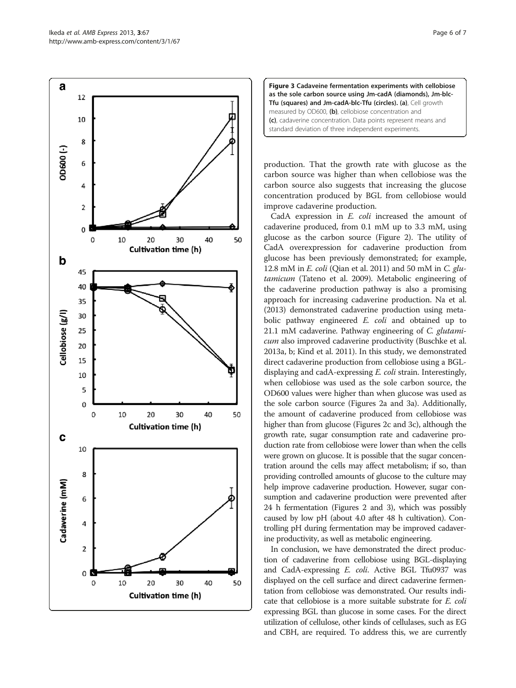<span id="page-5-0"></span>



production. That the growth rate with glucose as the carbon source was higher than when cellobiose was the carbon source also suggests that increasing the glucose concentration produced by BGL from cellobiose would improve cadaverine production.

CadA expression in E. coli increased the amount of cadaverine produced, from 0.1 mM up to 3.3 mM, using glucose as the carbon source (Figure [2\)](#page-4-0). The utility of CadA overexpression for cadaverine production from glucose has been previously demonstrated; for example, 12.8 mM in  $E.$  coli (Qian et al. [2011\)](#page-6-0) and 50 mM in  $C.$  glutamicum (Tateno et al. [2009](#page-6-0)). Metabolic engineering of the cadaverine production pathway is also a promising approach for increasing cadaverine production. Na et al. ([2013](#page-6-0)) demonstrated cadaverine production using metabolic pathway engineered *E. coli* and obtained up to 21.1 mM cadaverine. Pathway engineering of C. glutamicum also improved cadaverine productivity (Buschke et al. [2013a](#page-6-0), [b](#page-6-0); Kind et al. [2011\)](#page-6-0). In this study, we demonstrated direct cadaverine production from cellobiose using a BGLdisplaying and cadA-expressing E. coli strain. Interestingly, when cellobiose was used as the sole carbon source, the OD600 values were higher than when glucose was used as the sole carbon source (Figures [2a](#page-4-0) and 3a). Additionally, the amount of cadaverine produced from cellobiose was higher than from glucose (Figures [2](#page-4-0)c and 3c), although the growth rate, sugar consumption rate and cadaverine production rate from cellobiose were lower than when the cells were grown on glucose. It is possible that the sugar concentration around the cells may affect metabolism; if so, than providing controlled amounts of glucose to the culture may help improve cadaverine production. However, sugar consumption and cadaverine production were prevented after 24 h fermentation (Figures [2](#page-4-0) and 3), which was possibly caused by low pH (about 4.0 after 48 h cultivation). Controlling pH during fermentation may be improved cadaverine productivity, as well as metabolic engineering.

In conclusion, we have demonstrated the direct production of cadaverine from cellobiose using BGL-displaying and CadA-expressing E. coli. Active BGL Tfu0937 was displayed on the cell surface and direct cadaverine fermentation from cellobiose was demonstrated. Our results indicate that cellobiose is a more suitable substrate for E. coli expressing BGL than glucose in some cases. For the direct utilization of cellulose, other kinds of cellulases, such as EG and CBH, are required. To address this, we are currently